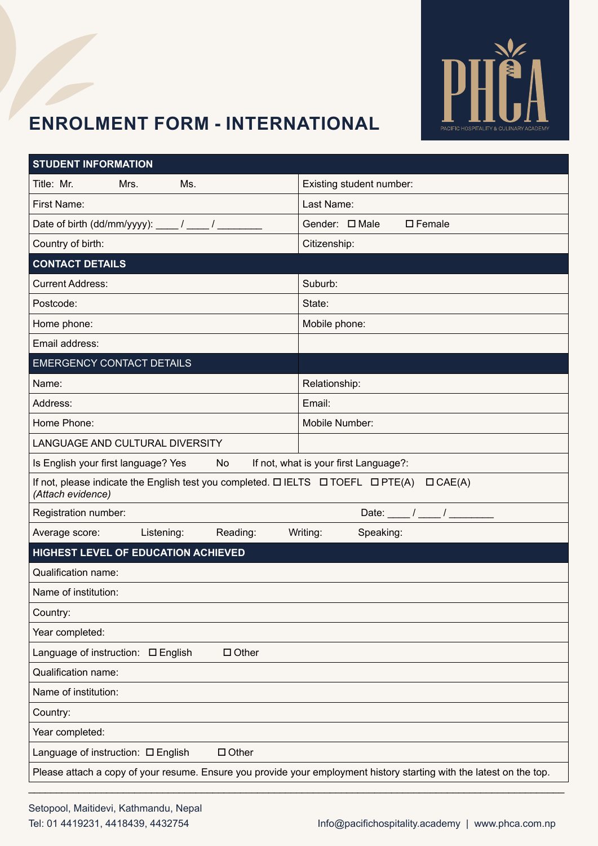

# **Enrolment Form - International**

| <b>STUDENT INFORMATION</b>                                                                                                     |                                       |  |  |  |
|--------------------------------------------------------------------------------------------------------------------------------|---------------------------------------|--|--|--|
| Title: Mr.<br>Ms.<br>Mrs.                                                                                                      | Existing student number:              |  |  |  |
| First Name:                                                                                                                    | Last Name:                            |  |  |  |
| Date of birth (dd/mm/yyyy): ____/ ____/ ____                                                                                   | Gender: □ Male<br>$\square$ Female    |  |  |  |
| Country of birth:                                                                                                              | Citizenship:                          |  |  |  |
| <b>CONTACT DETAILS</b>                                                                                                         |                                       |  |  |  |
| <b>Current Address:</b>                                                                                                        | Suburb:                               |  |  |  |
| Postcode:                                                                                                                      | State:                                |  |  |  |
| Home phone:                                                                                                                    | Mobile phone:                         |  |  |  |
| Email address:                                                                                                                 |                                       |  |  |  |
| <b>EMERGENCY CONTACT DETAILS</b>                                                                                               |                                       |  |  |  |
| Name:                                                                                                                          | Relationship:                         |  |  |  |
| Address:                                                                                                                       | Email:                                |  |  |  |
| Home Phone:                                                                                                                    | Mobile Number:                        |  |  |  |
| LANGUAGE AND CULTURAL DIVERSITY                                                                                                |                                       |  |  |  |
| Is English your first language? Yes<br>No                                                                                      | If not, what is your first Language?: |  |  |  |
| If not, please indicate the English test you completed. $\Box$ IELTS $\Box$ TOEFL $\Box$ PTE(A)<br>CAE(A)<br>(Attach evidence) |                                       |  |  |  |
| Registration number:                                                                                                           | Date: $\frac{1}{\sqrt{2\pi}}$         |  |  |  |
| Average score:<br>Listening:<br>Reading:                                                                                       | Writing:<br>Speaking:                 |  |  |  |
| HIGHEST LEVEL OF EDUCATION ACHIEVED                                                                                            |                                       |  |  |  |
| <b>Qualification name:</b>                                                                                                     |                                       |  |  |  |
| Name of institution:                                                                                                           |                                       |  |  |  |
| Country:                                                                                                                       |                                       |  |  |  |
| Year completed:                                                                                                                |                                       |  |  |  |
| $\Box$ Other<br>Language of instruction: □ English                                                                             |                                       |  |  |  |
| Qualification name:                                                                                                            |                                       |  |  |  |
| Name of institution:                                                                                                           |                                       |  |  |  |
| Country:                                                                                                                       |                                       |  |  |  |
| Year completed:                                                                                                                |                                       |  |  |  |
| Language of instruction: □ English<br>$\Box$ Other                                                                             |                                       |  |  |  |
| Please attach a copy of your resume. Ensure you provide your employment history starting with the latest on the top.           |                                       |  |  |  |
|                                                                                                                                |                                       |  |  |  |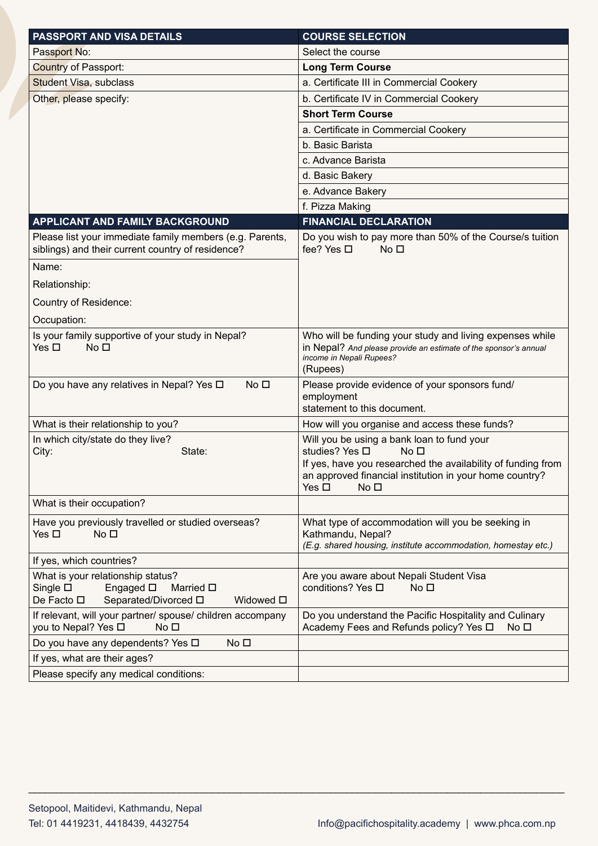| <b>PASSPORT AND VISA DETAILS</b>                                                                                                                   | <b>COURSE SELECTION</b>                                                                                                                                                                                                                        |
|----------------------------------------------------------------------------------------------------------------------------------------------------|------------------------------------------------------------------------------------------------------------------------------------------------------------------------------------------------------------------------------------------------|
| Passport No:                                                                                                                                       | Select the course                                                                                                                                                                                                                              |
| <b>Country of Passport:</b>                                                                                                                        | <b>Long Term Course</b>                                                                                                                                                                                                                        |
| <b>Student Visa, subclass</b>                                                                                                                      | a. Certificate III in Commercial Cookery                                                                                                                                                                                                       |
| Other, please specify:                                                                                                                             | b. Certificate IV in Commercial Cookery                                                                                                                                                                                                        |
|                                                                                                                                                    | <b>Short Term Course</b>                                                                                                                                                                                                                       |
|                                                                                                                                                    | a. Certificate in Commercial Cookery                                                                                                                                                                                                           |
|                                                                                                                                                    | b. Basic Barista                                                                                                                                                                                                                               |
|                                                                                                                                                    | c. Advance Barista                                                                                                                                                                                                                             |
|                                                                                                                                                    | d. Basic Bakery                                                                                                                                                                                                                                |
|                                                                                                                                                    | e. Advance Bakery                                                                                                                                                                                                                              |
|                                                                                                                                                    | f. Pizza Making                                                                                                                                                                                                                                |
| APPLICANT AND FAMILY BACKGROUND                                                                                                                    | <b>FINANCIAL DECLARATION</b>                                                                                                                                                                                                                   |
| Please list your immediate family members (e.g. Parents,<br>siblings) and their current country of residence?                                      | Do you wish to pay more than 50% of the Course/s tuition<br>fee? Yes □<br>No <sub>1</sub>                                                                                                                                                      |
| Name:                                                                                                                                              |                                                                                                                                                                                                                                                |
| Relationship:                                                                                                                                      |                                                                                                                                                                                                                                                |
| Country of Residence:                                                                                                                              |                                                                                                                                                                                                                                                |
| Occupation:                                                                                                                                        |                                                                                                                                                                                                                                                |
| Is your family supportive of your study in Nepal?<br>Yes $\square$<br>No <sub>1</sub>                                                              | Who will be funding your study and living expenses while<br>in Nepal? And please provide an estimate of the sponsor's annual<br>income in Nepali Rupees?<br>(Rupees)                                                                           |
| Do you have any relatives in Nepal? Yes □<br>No <sub>1</sub>                                                                                       | Please provide evidence of your sponsors fund/                                                                                                                                                                                                 |
|                                                                                                                                                    | employment<br>statement to this document.                                                                                                                                                                                                      |
| What is their relationship to you?                                                                                                                 | How will you organise and access these funds?                                                                                                                                                                                                  |
| In which city/state do they live?<br>State:<br>City:                                                                                               | Will you be using a bank loan to fund your<br>studies? Yes □<br>No <sub>1</sub><br>If yes, have you researched the availability of funding from<br>an approved financial institution in your home country?<br>Yes $\square$<br>No <sub>1</sub> |
| What is their occupation?                                                                                                                          |                                                                                                                                                                                                                                                |
| Have you previously travelled or studied overseas?<br>Yes □<br>No <sub>1</sub>                                                                     | What type of accommodation will you be seeking in<br>Kathmandu, Nepal?<br>(E.g. shared housing, institute accommodation, homestay etc.)                                                                                                        |
| If yes, which countries?                                                                                                                           |                                                                                                                                                                                                                                                |
| What is your relationship status?<br>Single $\square$<br>Engaged $\square$<br>Married $\square$<br>De Facto □<br>Separated/Divorced □<br>Widowed □ | Are you aware about Nepali Student Visa<br>conditions? Yes □<br>No <sub>1</sub>                                                                                                                                                                |
| If relevant, will your partner/ spouse/ children accompany<br>you to Nepal? Yes □<br>No <sub>1</sub>                                               | Do you understand the Pacific Hospitality and Culinary<br>Academy Fees and Refunds policy? Yes □<br>No <sub>1</sub>                                                                                                                            |
| Do you have any dependents? Yes □<br>No <sub>D</sub>                                                                                               |                                                                                                                                                                                                                                                |
| If yes, what are their ages?                                                                                                                       |                                                                                                                                                                                                                                                |
| Please specify any medical conditions:                                                                                                             |                                                                                                                                                                                                                                                |

\_\_\_\_\_\_\_\_\_\_\_\_\_\_\_\_\_\_\_\_\_\_\_\_\_\_\_\_\_\_\_\_\_\_\_\_\_\_\_\_\_\_\_\_\_\_\_\_\_\_\_\_\_\_\_\_\_\_\_\_\_\_\_\_\_\_\_\_\_\_\_\_\_\_\_\_\_\_\_\_\_\_\_\_\_\_\_\_\_\_\_\_\_\_\_\_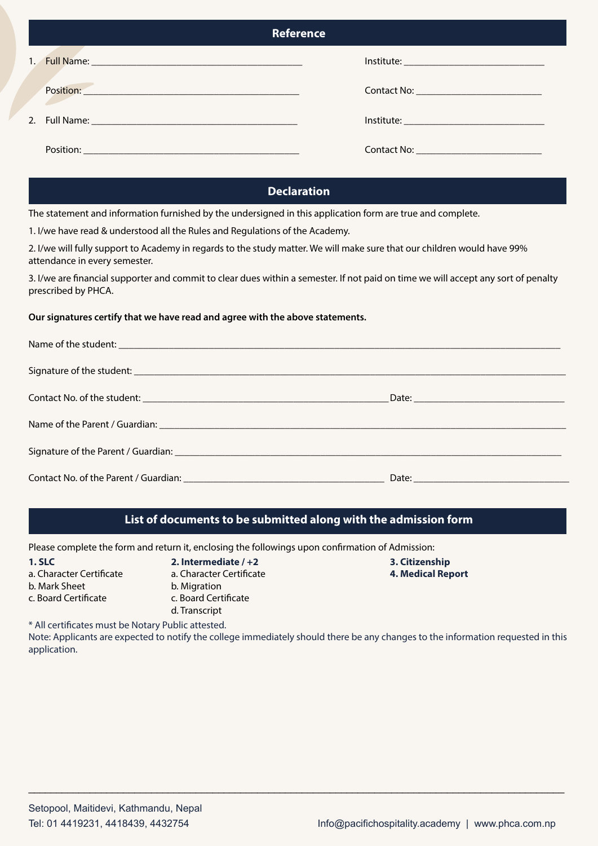| <b>Reference</b> |                                                                                                                |
|------------------|----------------------------------------------------------------------------------------------------------------|
|                  |                                                                                                                |
|                  | Contact No: Contact No:                                                                                        |
|                  |                                                                                                                |
|                  | Contact No: 2008 2010 2010 2010 2010 2011 2020 2021 2021 2022 2021 2022 2022 2023 2024 2022 2023 2024 2025 202 |

## **Declaration**

The statement and information furnished by the undersigned in this application form are true and complete.

1. I/we have read & understood all the Rules and Regulations of the Academy.

2. I/we will fully support to Academy in regards to the study matter. We will make sure that our children would have 99% attendance in every semester.

3. I/we are financial supporter and commit to clear dues within a semester. If not paid on time we will accept any sort of penalty prescribed by PHCA.

#### **Our signatures certify that we have read and agree with the above statements.**

| Date: Note: Note: Note: Note: Note: Note: Note: Note: Note: Note: Note: Note: Note: Note: Note: Note: Note: No |
|----------------------------------------------------------------------------------------------------------------|

### **List of documents to be submitted along with the admission form**

Please complete the form and return it, enclosing the followings upon confirmation of Admission:

- -
- 
- b. Mark Sheet b. Migration
	-
- c. Board Certificate c. Board Certificate d. Transcript
- **1. SLC 2. Intermediate / +2 3. Citizenship** a. Character Certificate a. Character Certificate **4. Medical Report**

\* All certificates must be Notary Public attested.

Note: Applicants are expected to notify the college immediately should there be any changes to the information requested in this application.

\_\_\_\_\_\_\_\_\_\_\_\_\_\_\_\_\_\_\_\_\_\_\_\_\_\_\_\_\_\_\_\_\_\_\_\_\_\_\_\_\_\_\_\_\_\_\_\_\_\_\_\_\_\_\_\_\_\_\_\_\_\_\_\_\_\_\_\_\_\_\_\_\_\_\_\_\_\_\_\_\_\_\_\_\_\_\_\_\_\_\_\_\_\_\_\_